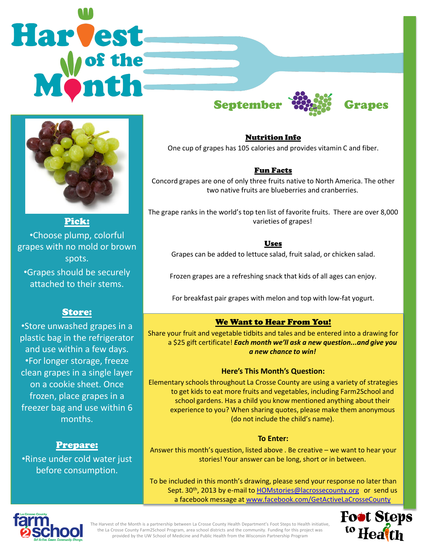# Harvest September With Grapes



Pick: •Choose plump, colorful grapes with no mold or brown spots.

•Grapes should be securely attached to their stems.

# Store:

•Store unwashed grapes in a plastic bag in the refrigerator and use within a few days. •For longer storage, freeze clean grapes in a single layer on a cookie sheet. Once frozen, place grapes in a freezer bag and use within 6 months.

# Prepare:

•Rinse under cold water just before consumption.



## Nutrition Info

One cup of grapes has 105 calories and provides vitamin C and fiber.

## Fun Facts

Concord grapes are one of only three fruits native to North America. The other two native fruits are blueberries and cranberries.

The grape ranks in the world's top ten list of favorite fruits. There are over 8,000 varieties of grapes!

## Uses

Grapes can be added to lettuce salad, fruit salad, or chicken salad.

Frozen grapes are a refreshing snack that kids of all ages can enjoy.

For breakfast pair grapes with melon and top with low-fat yogurt.

# We Want to Hear From You!

Share your fruit and vegetable tidbits and tales and be entered into a drawing for a \$25 gift certificate! *Each month we'll ask a new question...and give you a new chance to win!* 

## **Here's This Month's Question:**

Elementary schools throughout La Crosse County are using a variety of strategies to get kids to eat more fruits and vegetables, including Farm2School and school gardens. Has a child you know mentioned anything about their experience to you? When sharing quotes, please make them anonymous (do not include the child's name).

## **To Enter:**

Answer this month's question, listed above . Be creative – we want to hear your stories! Your answer can be long, short or in between.

To be included in this month's drawing, please send your response no later than Sept. 30<sup>th</sup>, 2013 by e-mail to **HOMstories@lacrossecounty.org** or send us a facebook message at [www.facebook.com/GetActiveLaCrosseCounty](http://www.facebook.com/GetActiveLaCrosseCounty)



The Harvest of the Month is a partnership between La Crosse County Health Department's Foot Steps to Health initiative, the La Crosse County Farm2School Program, area school districts and the community. Funding for this project was provided by the UW School of Medicine and Public Health from the Wisconsin Partnership Program